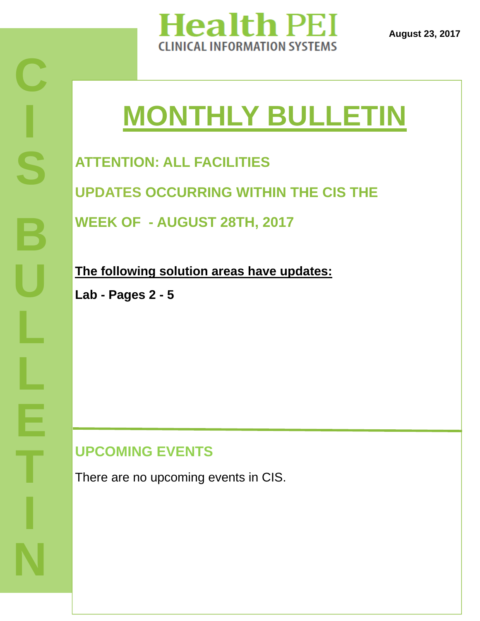

**August 23, 2017** 

# **MONTHLY BULLETIN**

**ATTENTION: ALL FACILITIES** 

**UPDATES OCCURRING WITHIN THE CIS THE** 

**WEEK OF - AUGUST 28TH, 2017** 

**The following solution areas have updates:** 

**Lab - Pages 2 - 5**

#### **UPCOMING EVENTS**

There are no upcoming events in CIS.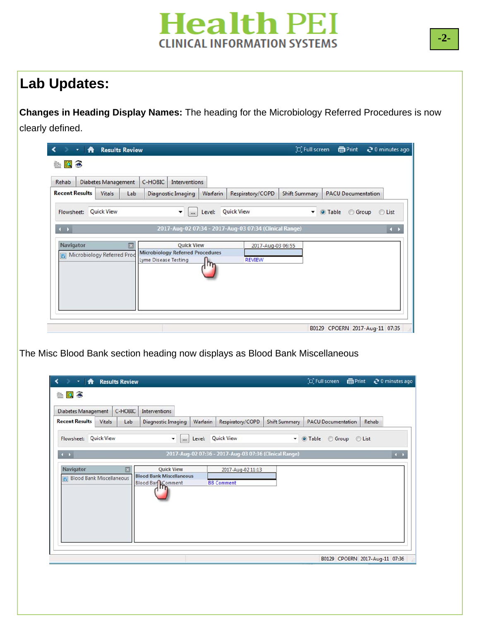

#### **Lab Updates:**

**Changes in Heading Display Names:** The heading for the Microbiology Referred Procedures is now clearly defined.

| Rehab                      | <b>Diabetes Management</b> |     | C-HOBIC              | Interventions                           |          |                                                        |                      |                           |              |
|----------------------------|----------------------------|-----|----------------------|-----------------------------------------|----------|--------------------------------------------------------|----------------------|---------------------------|--------------|
| <b>Recent Results</b>      | Vitals                     | Lab |                      | Diagnostic Imaging                      | Warfarin | Respiratory/COPD                                       | <b>Shift Summary</b> | <b>PACU Documentation</b> |              |
| Flowsheet:                 | <b>Quick View</b>          |     |                      | ۰<br>$\cdots$                           | Level:   | <b>Quick View</b>                                      | ۰                    | O Table                   | Group C List |
| $\leftarrow$               |                            |     |                      |                                         |          | 2017-Aug-02 07:34 - 2017-Aug-03 07:34 (Clinical Range) |                      |                           | $\leftarrow$ |
|                            |                            |     |                      |                                         |          |                                                        |                      |                           |              |
| Navigator                  |                            | 囩   |                      | <b>Quick View</b>                       |          | 2017-Aug-03 06:55                                      |                      |                           |              |
| Microbiology Referred Prod |                            |     | Lyme Disease Testing | <b>Microbiology Referred Procedures</b> |          | <b>REVIEW</b>                                          |                      |                           |              |
|                            |                            |     |                      |                                         | m        |                                                        |                      |                           |              |
|                            |                            |     |                      |                                         |          |                                                        |                      |                           |              |
|                            |                            |     |                      |                                         |          |                                                        |                      |                           |              |

The Misc Blood Bank section heading now displays as Blood Bank Miscellaneous

| <b>Diabetes Management</b>      |               | C-HOBIC | Interventions                   |                   |                                                        |                      |                           |       |
|---------------------------------|---------------|---------|---------------------------------|-------------------|--------------------------------------------------------|----------------------|---------------------------|-------|
| <b>Recent Results</b>           | <b>Vitals</b> | Lab     | Diagnostic Imaging              | Warfarin          | Respiratory/COPD                                       | <b>Shift Summary</b> | <b>PACU Documentation</b> | Rehab |
| Flowsheet: Quick View           |               |         | $\cdot$<br>$\cdots$             | Level: Quick View |                                                        | $\cdot$              | O Table<br>Group Clist    |       |
| $\leftarrow$                    |               |         |                                 |                   | 2017-Aug-02 07:36 - 2017-Aug-03 07:36 (Clinical Range) |                      |                           |       |
| Navigator                       |               | ×       | <b>Quick View</b>               |                   | 2017-Aug-02 11:13                                      |                      |                           |       |
| <b>Blood Bank Miscellaneous</b> |               |         | <b>Blood Bank Miscellaneous</b> |                   |                                                        |                      |                           |       |
|                                 |               |         | Blood Bar Comment               |                   | <b>BB Comment</b>                                      |                      |                           |       |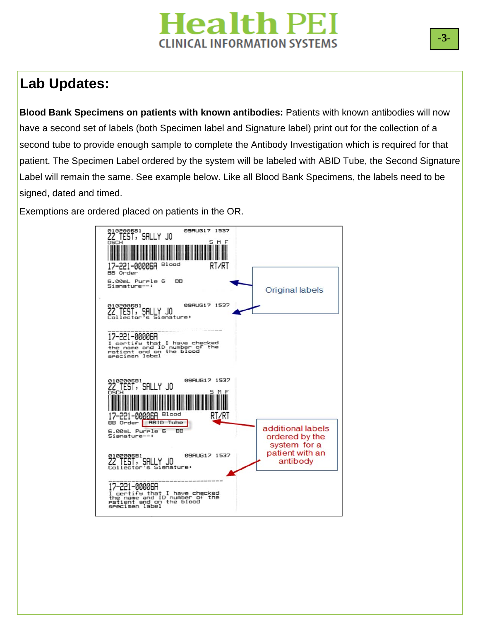## **Health PEI CLINICAL INFORMATION SYSTEMS**

#### **Lab Updates:**

**Blood Bank Specimens on patients with known antibodies:** Patients with known antibodies will now have a second set of labels (both Specimen label and Signature label) print out for the collection of a second tube to provide enough sample to complete the Antibody Investigation which is required for that patient. The Specimen Label ordered by the system will be labeled with ABID Tube, the Second Signature Label will remain the same. See example below. Like all Blood Bank Specimens, the labels need to be signed, dated and timed.

Exemptions are ordered placed on patients in the OR.

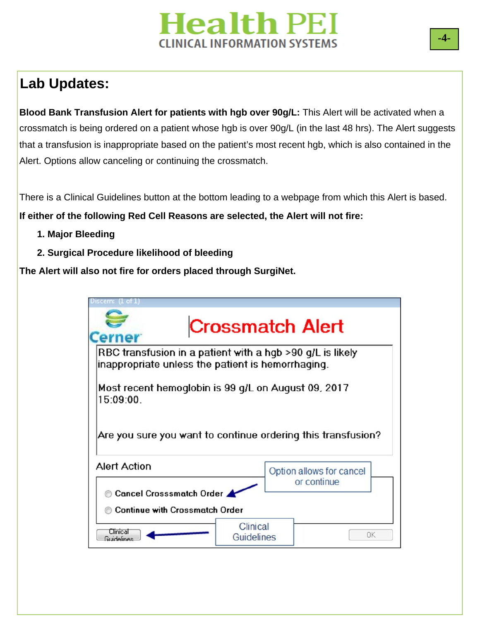## **Health PEI CLINICAL INFORMATION SYSTEMS**

## **Lab Updates:**

**Blood Bank Transfusion Alert for patients with hgb over 90g/L:** This Alert will be activated when a crossmatch is being ordered on a patient whose hgb is over 90g/L (in the last 48 hrs). The Alert suggests that a transfusion is inappropriate based on the patient's most recent hgb, which is also contained in the Alert. Options allow canceling or continuing the crossmatch.

There is a Clinical Guidelines button at the bottom leading to a webpage from which this Alert is based. **If either of the following Red Cell Reasons are selected, the Alert will not fire:** 

- **1. Major Bleeding**
- **2. Surgical Procedure likelihood of bleeding**

**The Alert will also not fire for orders placed through SurgiNet.** 

| Most recent hemoglobin is 99 g/L on August 09, 2017<br>15:09:00.<br>Are you sure you want to continue ordering this transfusion?<br><b>Alert Action</b><br>Option allows for cancel | or continue<br>Cancel Crosssmatch Order<br><b>Continue with Crossmatch Order</b> | erner | <b>Crossmatch Alert</b><br>RBC transfusion in a patient with a hgb >90 g/L is likely<br>inappropriate unless the patient is hemorrhaging. |
|-------------------------------------------------------------------------------------------------------------------------------------------------------------------------------------|----------------------------------------------------------------------------------|-------|-------------------------------------------------------------------------------------------------------------------------------------------|
|                                                                                                                                                                                     |                                                                                  |       |                                                                                                                                           |
|                                                                                                                                                                                     |                                                                                  |       |                                                                                                                                           |